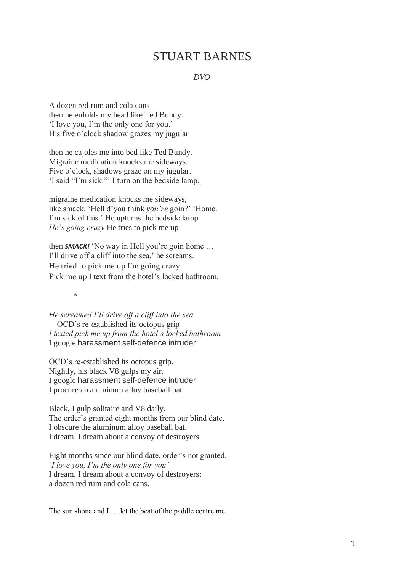## STUART BARNES

## *DVO*

A dozen red rum and cola cans then he enfolds my head like Ted Bundy. 'I love you, I'm the only one for you.' His five o'clock shadow grazes my jugular

then he cajoles me into bed like Ted Bundy. Migraine medication knocks me sideways. Five o'clock, shadows graze on my jugular. 'I said "I'm sick."' I turn on the bedside lamp,

migraine medication knocks me sideways, like smack. 'Hell d'you think *you're* goin?' 'Home. I'm sick of this.' He upturns the bedside lamp *He's going crazy* He tries to pick me up

then *SMACK!* 'No way in Hell you're goin home … I'll drive off a cliff into the sea,' he screams. He tried to pick me up I'm going crazy Pick me up I text from the hotel's locked bathroom.

\*

*He screamed I'll drive off a cliff into the sea* —OCD's re-established its octopus grip— *I texted pick me up from the hotel's locked bathroom* I google harassment self-defence intruder

OCD's re-established its octopus grip. Nightly, his black V8 gulps my air. I google harassment self-defence intruder I procure an aluminum alloy baseball bat.

Black, I gulp solitaire and V8 daily. The order's granted eight months from our blind date. I obscure the aluminum alloy baseball bat. I dream, I dream about a convoy of destroyers.

Eight months since our blind date, order's not granted. *'I love you, I'm the only one for you'* I dream. I dream about a convoy of destroyers: a dozen red rum and cola cans.

The sun shone and I ... let the beat of the paddle centre me.